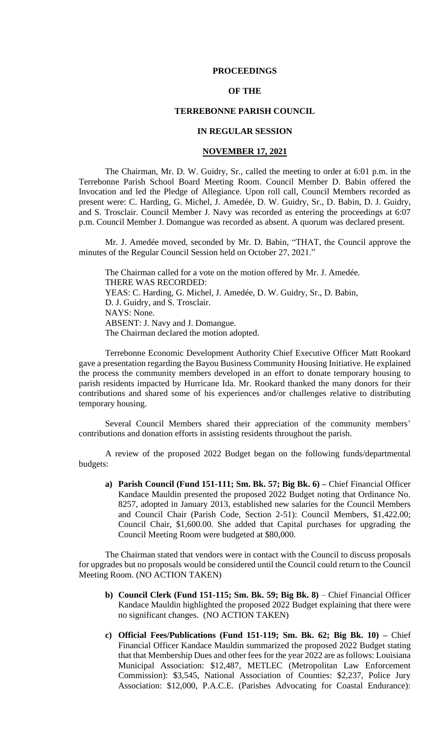#### **PROCEEDINGS**

## **OF THE**

## **TERREBONNE PARISH COUNCIL**

# **IN REGULAR SESSION**

#### **NOVEMBER 17, 2021**

The Chairman, Mr. D. W. Guidry, Sr., called the meeting to order at 6:01 p.m. in the Terrebonne Parish School Board Meeting Room. Council Member D. Babin offered the Invocation and led the Pledge of Allegiance. Upon roll call, Council Members recorded as present were: C. Harding, G. Michel, J. Amedée, D. W. Guidry, Sr., D. Babin, D. J. Guidry, and S. Trosclair. Council Member J. Navy was recorded as entering the proceedings at 6:07 p.m. Council Member J. Domangue was recorded as absent. A quorum was declared present.

Mr. J. Amedée moved, seconded by Mr. D. Babin, "THAT, the Council approve the minutes of the Regular Council Session held on October 27, 2021."

The Chairman called for a vote on the motion offered by Mr. J. Amedée. THERE WAS RECORDED: YEAS: C. Harding, G. Michel, J. Amedée, D. W. Guidry, Sr., D. Babin, D. J. Guidry, and S. Trosclair. NAYS: None. ABSENT: J. Navy and J. Domangue. The Chairman declared the motion adopted.

Terrebonne Economic Development Authority Chief Executive Officer Matt Rookard gave a presentation regarding the Bayou Business Community Housing Initiative. He explained the process the community members developed in an effort to donate temporary housing to parish residents impacted by Hurricane Ida. Mr. Rookard thanked the many donors for their contributions and shared some of his experiences and/or challenges relative to distributing temporary housing.

Several Council Members shared their appreciation of the community members' contributions and donation efforts in assisting residents throughout the parish.

A review of the proposed 2022 Budget began on the following funds/departmental budgets:

**a) Parish Council (Fund 151-111; Sm. Bk. 57; Big Bk. 6) –** Chief Financial Officer Kandace Mauldin presented the proposed 2022 Budget noting that Ordinance No. 8257, adopted in January 2013, established new salaries for the Council Members and Council Chair (Parish Code, Section 2-51): Council Members, \$1,422.00; Council Chair, \$1,600.00. She added that Capital purchases for upgrading the Council Meeting Room were budgeted at \$80,000.

The Chairman stated that vendors were in contact with the Council to discuss proposals for upgrades but no proposals would be considered until the Council could return to the Council Meeting Room. (NO ACTION TAKEN)

- **b) Council Clerk (Fund 151-115; Sm. Bk. 59; Big Bk. 8)**  Chief Financial Officer Kandace Mauldin highlighted the proposed 2022 Budget explaining that there were no significant changes. (NO ACTION TAKEN)
- **c) Official Fees/Publications (Fund 151-119; Sm. Bk. 62; Big Bk. 10) –** Chief Financial Officer Kandace Mauldin summarized the proposed 2022 Budget stating that that Membership Dues and other fees for the year 2022 are as follows: Louisiana Municipal Association: \$12,487, METLEC (Metropolitan Law Enforcement Commission): \$3,545, National Association of Counties: \$2,237, Police Jury Association: \$12,000, P.A.C.E. (Parishes Advocating for Coastal Endurance):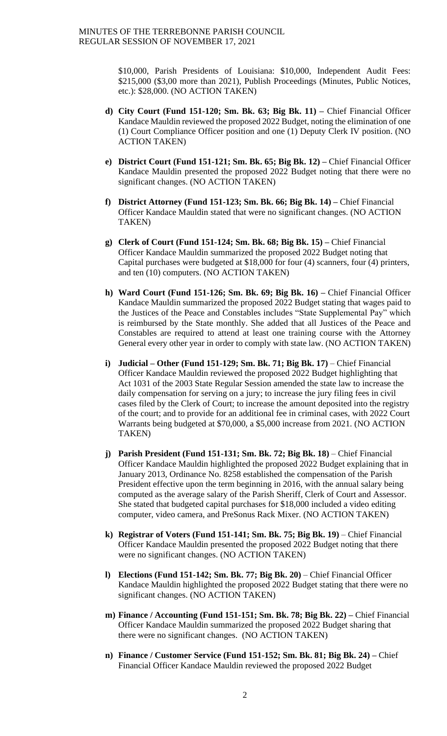\$10,000, Parish Presidents of Louisiana: \$10,000, Independent Audit Fees: \$215,000 (\$3,00 more than 2021), Publish Proceedings (Minutes, Public Notices, etc.): \$28,000. (NO ACTION TAKEN)

- **d) City Court (Fund 151-120; Sm. Bk. 63; Big Bk. 11) –** Chief Financial Officer Kandace Mauldin reviewed the proposed 2022 Budget, noting the elimination of one (1) Court Compliance Officer position and one (1) Deputy Clerk IV position. (NO ACTION TAKEN)
- **e) District Court (Fund 151-121; Sm. Bk. 65; Big Bk. 12) –** Chief Financial Officer Kandace Mauldin presented the proposed 2022 Budget noting that there were no significant changes. (NO ACTION TAKEN)
- **f) District Attorney (Fund 151-123; Sm. Bk. 66; Big Bk. 14) –** Chief Financial Officer Kandace Mauldin stated that were no significant changes. (NO ACTION TAKEN)
- **g) Clerk of Court (Fund 151-124; Sm. Bk. 68; Big Bk. 15) –** Chief Financial Officer Kandace Mauldin summarized the proposed 2022 Budget noting that Capital purchases were budgeted at \$18,000 for four (4) scanners, four (4) printers, and ten (10) computers. (NO ACTION TAKEN)
- **h) Ward Court (Fund 151-126; Sm. Bk. 69; Big Bk. 16) –** Chief Financial Officer Kandace Mauldin summarized the proposed 2022 Budget stating that wages paid to the Justices of the Peace and Constables includes "State Supplemental Pay" which is reimbursed by the State monthly. She added that all Justices of the Peace and Constables are required to attend at least one training course with the Attorney General every other year in order to comply with state law. (NO ACTION TAKEN)
- **i) Judicial – Other (Fund 151-129; Sm. Bk. 71; Big Bk. 17)**  Chief Financial Officer Kandace Mauldin reviewed the proposed 2022 Budget highlighting that Act 1031 of the 2003 State Regular Session amended the state law to increase the daily compensation for serving on a jury; to increase the jury filing fees in civil cases filed by the Clerk of Court; to increase the amount deposited into the registry of the court; and to provide for an additional fee in criminal cases, with 2022 Court Warrants being budgeted at \$70,000, a \$5,000 increase from 2021. (NO ACTION TAKEN)
- **j) Parish President (Fund 151-131; Sm. Bk. 72; Big Bk. 18)** Chief Financial Officer Kandace Mauldin highlighted the proposed 2022 Budget explaining that in January 2013, Ordinance No. 8258 established the compensation of the Parish President effective upon the term beginning in 2016, with the annual salary being computed as the average salary of the Parish Sheriff, Clerk of Court and Assessor. She stated that budgeted capital purchases for \$18,000 included a video editing computer, video camera, and PreSonus Rack Mixer. (NO ACTION TAKEN)
- **k) Registrar of Voters (Fund 151-141; Sm. Bk. 75; Big Bk. 19)** Chief Financial Officer Kandace Mauldin presented the proposed 2022 Budget noting that there were no significant changes. (NO ACTION TAKEN)
- **l) Elections (Fund 151-142; Sm. Bk. 77; Big Bk. 20)**  Chief Financial Officer Kandace Mauldin highlighted the proposed 2022 Budget stating that there were no significant changes. (NO ACTION TAKEN)
- **m) Finance / Accounting (Fund 151-151; Sm. Bk. 78; Big Bk. 22) –** Chief Financial Officer Kandace Mauldin summarized the proposed 2022 Budget sharing that there were no significant changes. (NO ACTION TAKEN)
- **n) Finance / Customer Service (Fund 151-152; Sm. Bk. 81; Big Bk. 24) –** Chief Financial Officer Kandace Mauldin reviewed the proposed 2022 Budget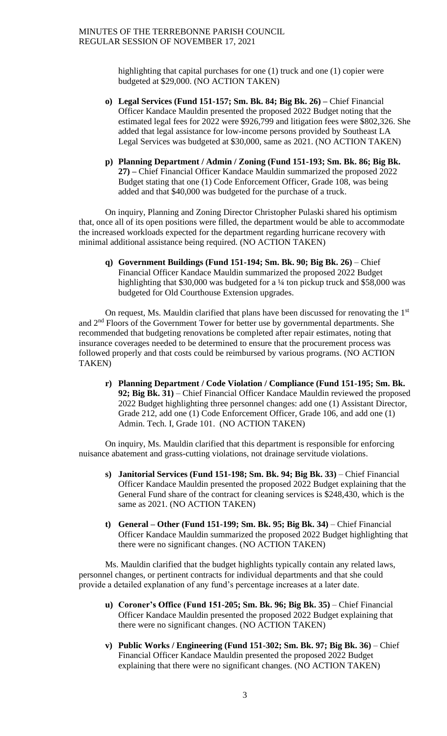highlighting that capital purchases for one (1) truck and one (1) copier were budgeted at \$29,000. (NO ACTION TAKEN)

- **o) Legal Services (Fund 151-157; Sm. Bk. 84; Big Bk. 26) –** Chief Financial Officer Kandace Mauldin presented the proposed 2022 Budget noting that the estimated legal fees for 2022 were \$926,799 and litigation fees were \$802,326. She added that legal assistance for low-income persons provided by Southeast LA Legal Services was budgeted at \$30,000, same as 2021. (NO ACTION TAKEN)
- **p) Planning Department / Admin / Zoning (Fund 151-193; Sm. Bk. 86; Big Bk. 27) –** Chief Financial Officer Kandace Mauldin summarized the proposed 2022 Budget stating that one (1) Code Enforcement Officer, Grade 108, was being added and that \$40,000 was budgeted for the purchase of a truck.

On inquiry, Planning and Zoning Director Christopher Pulaski shared his optimism that, once all of its open positions were filled, the department would be able to accommodate the increased workloads expected for the department regarding hurricane recovery with minimal additional assistance being required. (NO ACTION TAKEN)

**q) Government Buildings (Fund 151-194; Sm. Bk. 90; Big Bk. 26)** – Chief Financial Officer Kandace Mauldin summarized the proposed 2022 Budget highlighting that \$30,000 was budgeted for a <sup>1</sup>/4 ton pickup truck and \$58,000 was budgeted for Old Courthouse Extension upgrades.

On request, Ms. Mauldin clarified that plans have been discussed for renovating the  $1<sup>st</sup>$ and 2nd Floors of the Government Tower for better use by governmental departments. She recommended that budgeting renovations be completed after repair estimates, noting that insurance coverages needed to be determined to ensure that the procurement process was followed properly and that costs could be reimbursed by various programs. (NO ACTION TAKEN)

**r) Planning Department / Code Violation / Compliance (Fund 151-195; Sm. Bk. 92; Big Bk. 31)** – Chief Financial Officer Kandace Mauldin reviewed the proposed 2022 Budget highlighting three personnel changes: add one (1) Assistant Director, Grade 212, add one (1) Code Enforcement Officer, Grade 106, and add one (1) Admin. Tech. I, Grade 101. (NO ACTION TAKEN)

On inquiry, Ms. Mauldin clarified that this department is responsible for enforcing nuisance abatement and grass-cutting violations, not drainage servitude violations.

- **s) Janitorial Services (Fund 151-198; Sm. Bk. 94; Big Bk. 33)**  Chief Financial Officer Kandace Mauldin presented the proposed 2022 Budget explaining that the General Fund share of the contract for cleaning services is \$248,430, which is the same as 2021. (NO ACTION TAKEN)
- **t) General – Other (Fund 151-199; Sm. Bk. 95; Big Bk. 34)** Chief Financial Officer Kandace Mauldin summarized the proposed 2022 Budget highlighting that there were no significant changes. (NO ACTION TAKEN)

Ms. Mauldin clarified that the budget highlights typically contain any related laws, personnel changes, or pertinent contracts for individual departments and that she could provide a detailed explanation of any fund's percentage increases at a later date.

- **u) Coroner's Office (Fund 151-205; Sm. Bk. 96; Big Bk. 35)** Chief Financial Officer Kandace Mauldin presented the proposed 2022 Budget explaining that there were no significant changes. (NO ACTION TAKEN)
- **v) Public Works / Engineering (Fund 151-302; Sm. Bk. 97; Big Bk. 36)**  Chief Financial Officer Kandace Mauldin presented the proposed 2022 Budget explaining that there were no significant changes. (NO ACTION TAKEN)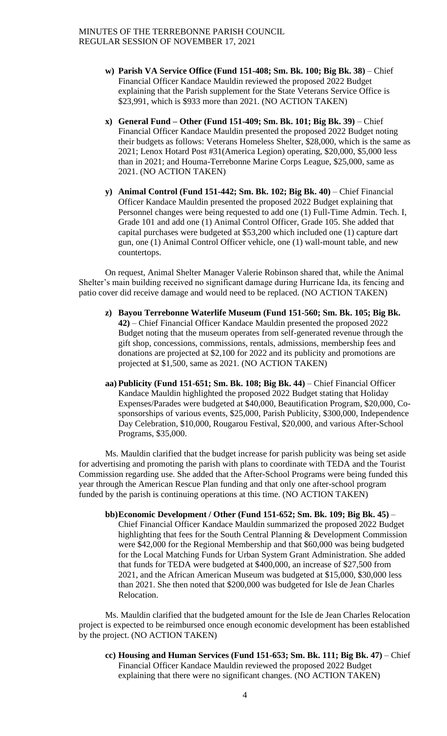- **w) Parish VA Service Office (Fund 151-408; Sm. Bk. 100; Big Bk. 38)** Chief Financial Officer Kandace Mauldin reviewed the proposed 2022 Budget explaining that the Parish supplement for the State Veterans Service Office is \$23,991, which is \$933 more than 2021. (NO ACTION TAKEN)
- **x) General Fund – Other (Fund 151-409; Sm. Bk. 101; Big Bk. 39)**  Chief Financial Officer Kandace Mauldin presented the proposed 2022 Budget noting their budgets as follows: Veterans Homeless Shelter, \$28,000, which is the same as 2021; Lenox Hotard Post #31(America Legion) operating, \$20,000, \$5,000 less than in 2021; and Houma-Terrebonne Marine Corps League, \$25,000, same as 2021. (NO ACTION TAKEN)
- **y) Animal Control (Fund 151-442; Sm. Bk. 102; Big Bk. 40)**  Chief Financial Officer Kandace Mauldin presented the proposed 2022 Budget explaining that Personnel changes were being requested to add one (1) Full-Time Admin. Tech. I, Grade 101 and add one (1) Animal Control Officer, Grade 105. She added that capital purchases were budgeted at \$53,200 which included one (1) capture dart gun, one (1) Animal Control Officer vehicle, one (1) wall-mount table, and new countertops.

On request, Animal Shelter Manager Valerie Robinson shared that, while the Animal Shelter's main building received no significant damage during Hurricane Ida, its fencing and patio cover did receive damage and would need to be replaced. (NO ACTION TAKEN)

- **z) Bayou Terrebonne Waterlife Museum (Fund 151-560; Sm. Bk. 105; Big Bk. 42)** – Chief Financial Officer Kandace Mauldin presented the proposed 2022 Budget noting that the museum operates from self-generated revenue through the gift shop, concessions, commissions, rentals, admissions, membership fees and donations are projected at \$2,100 for 2022 and its publicity and promotions are projected at \$1,500, same as 2021. (NO ACTION TAKEN)
- **aa) Publicity (Fund 151-651; Sm. Bk. 108; Big Bk. 44)** Chief Financial Officer Kandace Mauldin highlighted the proposed 2022 Budget stating that Holiday Expenses/Parades were budgeted at \$40,000, Beautification Program, \$20,000, Cosponsorships of various events, \$25,000, Parish Publicity, \$300,000, Independence Day Celebration, \$10,000, Rougarou Festival, \$20,000, and various After-School Programs, \$35,000.

Ms. Mauldin clarified that the budget increase for parish publicity was being set aside for advertising and promoting the parish with plans to coordinate with TEDA and the Tourist Commission regarding use. She added that the After-School Programs were being funded this year through the American Rescue Plan funding and that only one after-school program funded by the parish is continuing operations at this time. (NO ACTION TAKEN)

**bb)Economic Development / Other (Fund 151-652; Sm. Bk. 109; Big Bk. 45)** – Chief Financial Officer Kandace Mauldin summarized the proposed 2022 Budget highlighting that fees for the South Central Planning & Development Commission were \$42,000 for the Regional Membership and that \$60,000 was being budgeted for the Local Matching Funds for Urban System Grant Administration. She added that funds for TEDA were budgeted at \$400,000, an increase of \$27,500 from 2021, and the African American Museum was budgeted at \$15,000, \$30,000 less than 2021. She then noted that \$200,000 was budgeted for Isle de Jean Charles Relocation.

Ms. Mauldin clarified that the budgeted amount for the Isle de Jean Charles Relocation project is expected to be reimbursed once enough economic development has been established by the project. (NO ACTION TAKEN)

**cc) Housing and Human Services (Fund 151-653; Sm. Bk. 111; Big Bk. 47)** – Chief Financial Officer Kandace Mauldin reviewed the proposed 2022 Budget explaining that there were no significant changes. (NO ACTION TAKEN)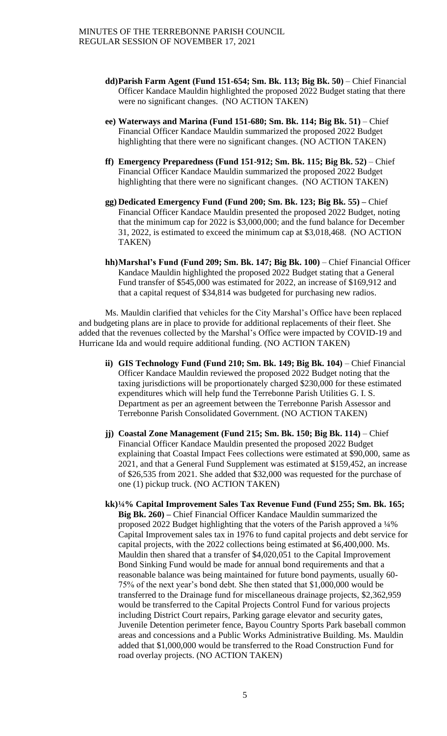- **dd)Parish Farm Agent (Fund 151-654; Sm. Bk. 113; Big Bk. 50)**  Chief Financial Officer Kandace Mauldin highlighted the proposed 2022 Budget stating that there were no significant changes. (NO ACTION TAKEN)
- **ee) Waterways and Marina (Fund 151-680; Sm. Bk. 114; Big Bk. 51)** Chief Financial Officer Kandace Mauldin summarized the proposed 2022 Budget highlighting that there were no significant changes. (NO ACTION TAKEN)
- **ff) Emergency Preparedness (Fund 151-912; Sm. Bk. 115; Big Bk. 52)** Chief Financial Officer Kandace Mauldin summarized the proposed 2022 Budget highlighting that there were no significant changes. (NO ACTION TAKEN)
- **gg) Dedicated Emergency Fund (Fund 200; Sm. Bk. 123; Big Bk. 55) –** Chief Financial Officer Kandace Mauldin presented the proposed 2022 Budget, noting that the minimum cap for 2022 is \$3,000,000; and the fund balance for December 31, 2022, is estimated to exceed the minimum cap at \$3,018,468. (NO ACTION TAKEN)
- **hh)Marshal's Fund (Fund 209; Sm. Bk. 147; Big Bk. 100)** Chief Financial Officer Kandace Mauldin highlighted the proposed 2022 Budget stating that a General Fund transfer of \$545,000 was estimated for 2022, an increase of \$169,912 and that a capital request of \$34,814 was budgeted for purchasing new radios.

Ms. Mauldin clarified that vehicles for the City Marshal's Office have been replaced and budgeting plans are in place to provide for additional replacements of their fleet. She added that the revenues collected by the Marshal's Office were impacted by COVID-19 and Hurricane Ida and would require additional funding. (NO ACTION TAKEN)

- **ii) GIS Technology Fund (Fund 210; Sm. Bk. 149; Big Bk. 104)** Chief Financial Officer Kandace Mauldin reviewed the proposed 2022 Budget noting that the taxing jurisdictions will be proportionately charged \$230,000 for these estimated expenditures which will help fund the Terrebonne Parish Utilities G. I. S. Department as per an agreement between the Terrebonne Parish Assessor and Terrebonne Parish Consolidated Government. (NO ACTION TAKEN)
- **jj) Coastal Zone Management (Fund 215; Sm. Bk. 150; Big Bk. 114)** Chief Financial Officer Kandace Mauldin presented the proposed 2022 Budget explaining that Coastal Impact Fees collections were estimated at \$90,000, same as 2021, and that a General Fund Supplement was estimated at \$159,452, an increase of \$26,535 from 2021. She added that \$32,000 was requested for the purchase of one (1) pickup truck. (NO ACTION TAKEN)
- **kk)¼% Capital Improvement Sales Tax Revenue Fund (Fund 255; Sm. Bk. 165; Big Bk. 260) –** Chief Financial Officer Kandace Mauldin summarized the proposed 2022 Budget highlighting that the voters of the Parish approved a ¼% Capital Improvement sales tax in 1976 to fund capital projects and debt service for capital projects, with the 2022 collections being estimated at \$6,400,000. Ms. Mauldin then shared that a transfer of \$4,020,051 to the Capital Improvement Bond Sinking Fund would be made for annual bond requirements and that a reasonable balance was being maintained for future bond payments, usually 60- 75% of the next year's bond debt. She then stated that \$1,000,000 would be transferred to the Drainage fund for miscellaneous drainage projects, \$2,362,959 would be transferred to the Capital Projects Control Fund for various projects including District Court repairs, Parking garage elevator and security gates, Juvenile Detention perimeter fence, Bayou Country Sports Park baseball common areas and concessions and a Public Works Administrative Building. Ms. Mauldin added that \$1,000,000 would be transferred to the Road Construction Fund for road overlay projects. (NO ACTION TAKEN)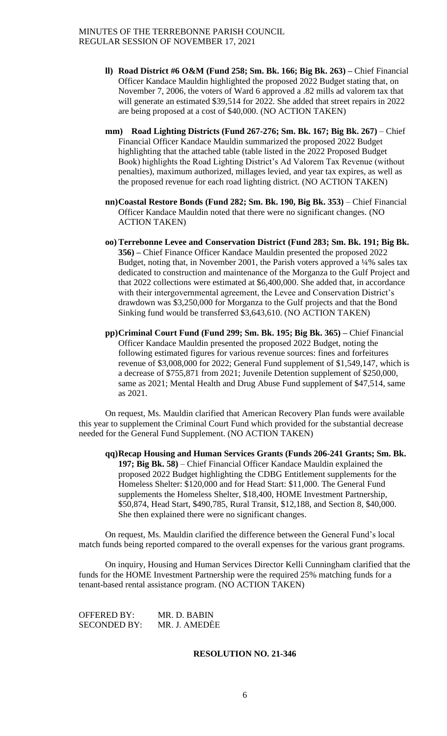- **ll) Road District #6 O&M (Fund 258; Sm. Bk. 166; Big Bk. 263) –** Chief Financial Officer Kandace Mauldin highlighted the proposed 2022 Budget stating that, on November 7, 2006, the voters of Ward 6 approved a .82 mills ad valorem tax that will generate an estimated \$39,514 for 2022. She added that street repairs in 2022 are being proposed at a cost of \$40,000. (NO ACTION TAKEN)
- **mm) Road Lighting Districts (Fund 267-276; Sm. Bk. 167; Big Bk. 267)**  Chief Financial Officer Kandace Mauldin summarized the proposed 2022 Budget highlighting that the attached table (table listed in the 2022 Proposed Budget Book) highlights the Road Lighting District's Ad Valorem Tax Revenue (without penalties), maximum authorized, millages levied, and year tax expires, as well as the proposed revenue for each road lighting district. (NO ACTION TAKEN)
- **nn)Coastal Restore Bonds (Fund 282; Sm. Bk. 190, Big Bk. 353)** Chief Financial Officer Kandace Mauldin noted that there were no significant changes. (NO ACTION TAKEN)
- **oo) Terrebonne Levee and Conservation District (Fund 283; Sm. Bk. 191; Big Bk. 356) –** Chief Finance Officer Kandace Mauldin presented the proposed 2022 Budget, noting that, in November 2001, the Parish voters approved a ¼% sales tax dedicated to construction and maintenance of the Morganza to the Gulf Project and that 2022 collections were estimated at \$6,400,000. She added that, in accordance with their intergovernmental agreement, the Levee and Conservation District's drawdown was \$3,250,000 for Morganza to the Gulf projects and that the Bond Sinking fund would be transferred \$3,643,610. (NO ACTION TAKEN)
- **pp)Criminal Court Fund (Fund 299; Sm. Bk. 195; Big Bk. 365) –** Chief Financial Officer Kandace Mauldin presented the proposed 2022 Budget, noting the following estimated figures for various revenue sources: fines and forfeitures revenue of \$3,008,000 for 2022; General Fund supplement of \$1,549,147, which is a decrease of \$755,871 from 2021; Juvenile Detention supplement of \$250,000, same as 2021; Mental Health and Drug Abuse Fund supplement of \$47,514, same as 2021.

On request, Ms. Mauldin clarified that American Recovery Plan funds were available this year to supplement the Criminal Court Fund which provided for the substantial decrease needed for the General Fund Supplement. (NO ACTION TAKEN)

**qq)Recap Housing and Human Services Grants (Funds 206-241 Grants; Sm. Bk. 197; Big Bk. 58)** – Chief Financial Officer Kandace Mauldin explained the proposed 2022 Budget highlighting the CDBG Entitlement supplements for the Homeless Shelter: \$120,000 and for Head Start: \$11,000. The General Fund supplements the Homeless Shelter, \$18,400, HOME Investment Partnership, \$50,874, Head Start, \$490,785, Rural Transit, \$12,188, and Section 8, \$40,000. She then explained there were no significant changes.

On request, Ms. Mauldin clarified the difference between the General Fund's local match funds being reported compared to the overall expenses for the various grant programs.

On inquiry, Housing and Human Services Director Kelli Cunningham clarified that the funds for the HOME Investment Partnership were the required 25% matching funds for a tenant-based rental assistance program. (NO ACTION TAKEN)

OFFERED BY: MR. D. BABIN SECONDED BY: MR. J. AMEDĖE

## **RESOLUTION NO. 21-346**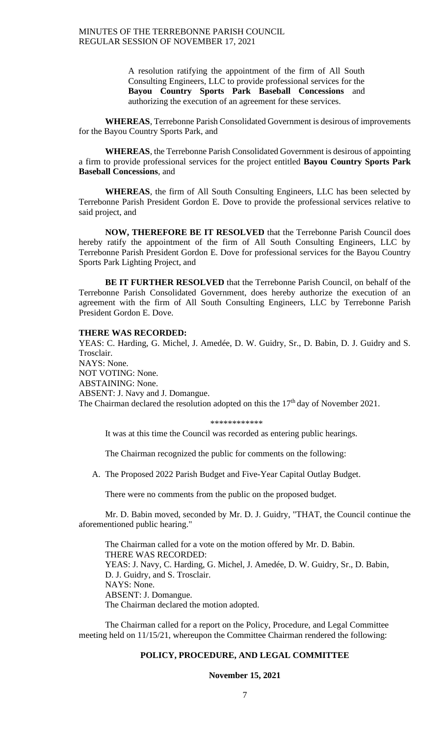A resolution ratifying the appointment of the firm of All South Consulting Engineers, LLC to provide professional services for the **Bayou Country Sports Park Baseball Concessions** and authorizing the execution of an agreement for these services.

**WHEREAS**, Terrebonne Parish Consolidated Government is desirous of improvements for the Bayou Country Sports Park, and

**WHEREAS**, the Terrebonne Parish Consolidated Government is desirous of appointing a firm to provide professional services for the project entitled **Bayou Country Sports Park Baseball Concessions**, and

**WHEREAS**, the firm of All South Consulting Engineers, LLC has been selected by Terrebonne Parish President Gordon E. Dove to provide the professional services relative to said project, and

**NOW, THEREFORE BE IT RESOLVED** that the Terrebonne Parish Council does hereby ratify the appointment of the firm of All South Consulting Engineers, LLC by Terrebonne Parish President Gordon E. Dove for professional services for the Bayou Country Sports Park Lighting Project, and

**BE IT FURTHER RESOLVED** that the Terrebonne Parish Council, on behalf of the Terrebonne Parish Consolidated Government, does hereby authorize the execution of an agreement with the firm of All South Consulting Engineers, LLC by Terrebonne Parish President Gordon E. Dove.

#### **THERE WAS RECORDED:**

YEAS: C. Harding, G. Michel, J. Amedée, D. W. Guidry, Sr., D. Babin, D. J. Guidry and S. Trosclair. NAYS: None. NOT VOTING: None. ABSTAINING: None. ABSENT: J. Navy and J. Domangue. The Chairman declared the resolution adopted on this the 17<sup>th</sup> day of November 2021.

\*\*\*\*\*\*\*\*\*\*\*\*

It was at this time the Council was recorded as entering public hearings.

The Chairman recognized the public for comments on the following:

A. The Proposed 2022 Parish Budget and Five-Year Capital Outlay Budget.

There were no comments from the public on the proposed budget.

Mr. D. Babin moved, seconded by Mr. D. J. Guidry, "THAT, the Council continue the aforementioned public hearing."

The Chairman called for a vote on the motion offered by Mr. D. Babin. THERE WAS RECORDED: YEAS: J. Navy, C. Harding, G. Michel, J. Amedée, D. W. Guidry, Sr., D. Babin, D. J. Guidry, and S. Trosclair. NAYS: None. ABSENT: J. Domangue. The Chairman declared the motion adopted.

The Chairman called for a report on the Policy, Procedure, and Legal Committee meeting held on 11/15/21, whereupon the Committee Chairman rendered the following:

### **POLICY, PROCEDURE, AND LEGAL COMMITTEE**

**November 15, 2021**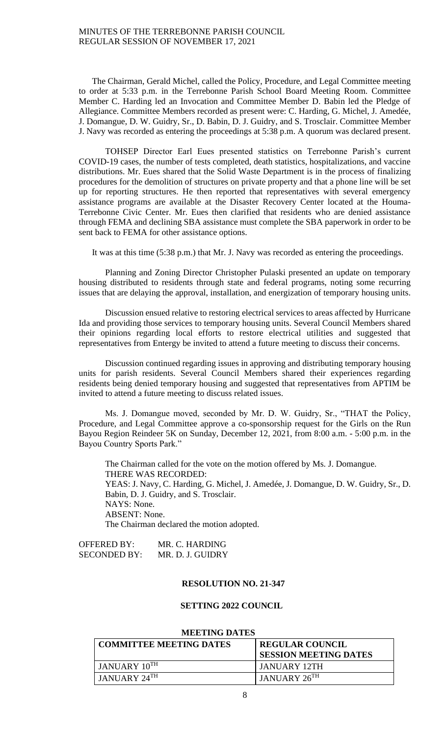The Chairman, Gerald Michel, called the Policy, Procedure, and Legal Committee meeting to order at 5:33 p.m. in the Terrebonne Parish School Board Meeting Room. Committee Member C. Harding led an Invocation and Committee Member D. Babin led the Pledge of Allegiance. Committee Members recorded as present were: C. Harding, G. Michel, J. Amedée, J. Domangue, D. W. Guidry, Sr., D. Babin, D. J. Guidry, and S. Trosclair. Committee Member J. Navy was recorded as entering the proceedings at 5:38 p.m. A quorum was declared present.

TOHSEP Director Earl Eues presented statistics on Terrebonne Parish's current COVID-19 cases, the number of tests completed, death statistics, hospitalizations, and vaccine distributions. Mr. Eues shared that the Solid Waste Department is in the process of finalizing procedures for the demolition of structures on private property and that a phone line will be set up for reporting structures. He then reported that representatives with several emergency assistance programs are available at the Disaster Recovery Center located at the Houma-Terrebonne Civic Center. Mr. Eues then clarified that residents who are denied assistance through FEMA and declining SBA assistance must complete the SBA paperwork in order to be sent back to FEMA for other assistance options.

It was at this time (5:38 p.m.) that Mr. J. Navy was recorded as entering the proceedings.

Planning and Zoning Director Christopher Pulaski presented an update on temporary housing distributed to residents through state and federal programs, noting some recurring issues that are delaying the approval, installation, and energization of temporary housing units.

Discussion ensued relative to restoring electrical services to areas affected by Hurricane Ida and providing those services to temporary housing units. Several Council Members shared their opinions regarding local efforts to restore electrical utilities and suggested that representatives from Entergy be invited to attend a future meeting to discuss their concerns.

Discussion continued regarding issues in approving and distributing temporary housing units for parish residents. Several Council Members shared their experiences regarding residents being denied temporary housing and suggested that representatives from APTIM be invited to attend a future meeting to discuss related issues.

Ms. J. Domangue moved, seconded by Mr. D. W. Guidry, Sr., "THAT the Policy, Procedure, and Legal Committee approve a co-sponsorship request for the Girls on the Run Bayou Region Reindeer 5K on Sunday, December 12, 2021, from 8:00 a.m. - 5:00 p.m. in the Bayou Country Sports Park."

The Chairman called for the vote on the motion offered by Ms. J. Domangue. THERE WAS RECORDED: YEAS: J. Navy, C. Harding, G. Michel, J. Amedée, J. Domangue, D. W. Guidry, Sr., D. Babin, D. J. Guidry, and S. Trosclair. NAYS: None. ABSENT: None. The Chairman declared the motion adopted.

| OFFERED BY:         | MR. C. HARDING   |
|---------------------|------------------|
| <b>SECONDED BY:</b> | MR. D. J. GUIDRY |

### **RESOLUTION NO. 21-347**

#### **SETTING 2022 COUNCIL**

#### **MEETING DATES**

| <b>COMMITTEE MEETING DATES</b> | <b>REGULAR COUNCIL</b><br><b>SESSION MEETING DATES</b> |
|--------------------------------|--------------------------------------------------------|
| JANUARY 10TH                   | JANUARY 12TH                                           |
| JANUARY 24TH                   | JANUARY 26TH                                           |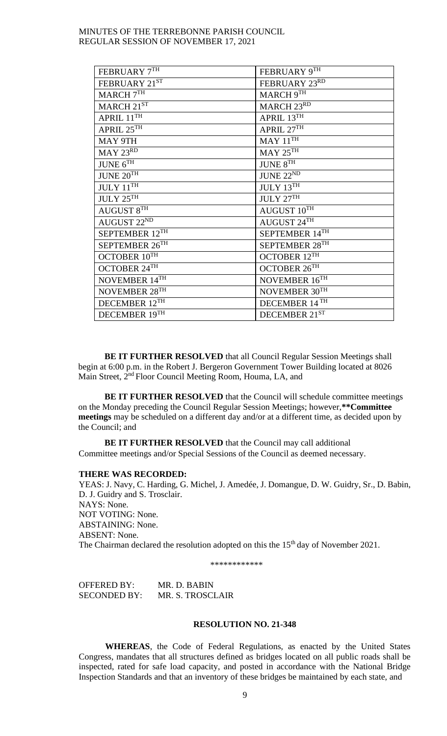| FEBRUARY $7^{\mathrm{TH}}$                      | FEBRUARY 9TH                                     |
|-------------------------------------------------|--------------------------------------------------|
| FEBRUARY 21ST                                   | FEBRUARY 23RD                                    |
| MARCH $7^{\mathrm{TH}}$                         | $MARCH9^{\overline{TH}}$                         |
| MARCH $21^{\rm ST}$                             | MARCH 23RD                                       |
| APRIL $11^{\mathrm{TH}}$                        | APRIL $13^{\mathrm{TH}}$                         |
| APRIL $25^{\overline{\text{TH}}}$               | $\triangle$ PRIL $27^{\overline{\text{TH}}}$     |
| MAY 9TH                                         | $MAY 11^{TH}$                                    |
| $MAY$ $23^{RD}$                                 | $\text{MAY}\,25^{\text{TH}}$                     |
| JUNE $6^{TH}$                                   | JUNE 8 <sup>TH</sup>                             |
| $\text{JUNE}\ \overline{\text{20}^{\text{TH}}}$ | JUNE $22^{\overline{\text{ND}}}$                 |
| JULY $11^{\overline{\text{TH}}}$                | JULY $13^{\overline{\text{TH}}}$                 |
| JULY 25 <sup>TH</sup>                           | JULY 27TH                                        |
| $\triangle$ UGUST $8^{\overline{TH}}$           | $\boldsymbol{\mathrm{AUGUST\ 10}^{\mathrm{TH}}}$ |
| AUGUST 22ND                                     | AUGUST 24TH                                      |
| SEPTEMBER 12TH                                  | SEPTEMBER 14TH                                   |
| SEPTEMBER $26^{TH}$                             | SEPTEMBER $28^{\mathrm{TH}}$                     |
| OCTOBER $10^{\overline{TH}}$                    | OCTOBER $12^{TH}$                                |
| OCTOBER $24^{\mathrm{TH}}$                      | OCTOBER $26^{TH}$                                |
| NOVEMBER 14TH                                   | NOVEMBER $16^{\mathrm{TH}}$                      |
| NOVEMBER $28^{\mathrm{TH}}$                     | NOVEMBER 30TH                                    |
| DECEMBER 12TH                                   | DECEMBER 14TH                                    |
| DECEMBER $19^{\mathrm{TH}}$                     | DECEMBER $21^{\rm ST}$                           |

**BE IT FURTHER RESOLVED** that all Council Regular Session Meetings shall begin at 6:00 p.m. in the Robert J. Bergeron Government Tower Building located at 8026 Main Street, 2<sup>nd</sup> Floor Council Meeting Room, Houma, LA, and

**BE IT FURTHER RESOLVED** that the Council will schedule committee meetings on the Monday preceding the Council Regular Session Meetings; however,**\*\*Committee meetings** may be scheduled on a different day and/or at a different time, as decided upon by the Council; and

**BE IT FURTHER RESOLVED** that the Council may call additional Committee meetings and/or Special Sessions of the Council as deemed necessary.

### **THERE WAS RECORDED:**

YEAS: J. Navy, C. Harding, G. Michel, J. Amedée, J. Domangue, D. W. Guidry, Sr., D. Babin, D. J. Guidry and S. Trosclair. NAYS: None. NOT VOTING: None. ABSTAINING: None. ABSENT: None. The Chairman declared the resolution adopted on this the 15<sup>th</sup> day of November 2021.

\*\*\*\*\*\*\*\*\*\*\*\*

OFFERED BY: MR. D. BABIN SECONDED BY: MR. S. TROSCLAIR

### **RESOLUTION NO. 21-348**

**WHEREAS**, the Code of Federal Regulations, as enacted by the United States Congress, mandates that all structures defined as bridges located on all public roads shall be inspected, rated for safe load capacity, and posted in accordance with the National Bridge Inspection Standards and that an inventory of these bridges be maintained by each state, and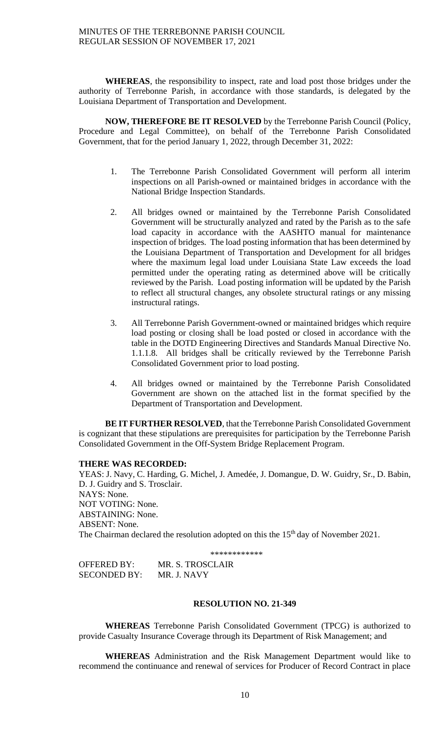**WHEREAS**, the responsibility to inspect, rate and load post those bridges under the authority of Terrebonne Parish, in accordance with those standards, is delegated by the Louisiana Department of Transportation and Development.

**NOW, THEREFORE BE IT RESOLVED** by the Terrebonne Parish Council (Policy, Procedure and Legal Committee), on behalf of the Terrebonne Parish Consolidated Government, that for the period January 1, 2022, through December 31, 2022:

- 1. The Terrebonne Parish Consolidated Government will perform all interim inspections on all Parish-owned or maintained bridges in accordance with the National Bridge Inspection Standards.
- 2. All bridges owned or maintained by the Terrebonne Parish Consolidated Government will be structurally analyzed and rated by the Parish as to the safe load capacity in accordance with the AASHTO manual for maintenance inspection of bridges. The load posting information that has been determined by the Louisiana Department of Transportation and Development for all bridges where the maximum legal load under Louisiana State Law exceeds the load permitted under the operating rating as determined above will be critically reviewed by the Parish. Load posting information will be updated by the Parish to reflect all structural changes, any obsolete structural ratings or any missing instructural ratings.
- 3. All Terrebonne Parish Government-owned or maintained bridges which require load posting or closing shall be load posted or closed in accordance with the table in the DOTD Engineering Directives and Standards Manual Directive No. 1.1.1.8. All bridges shall be critically reviewed by the Terrebonne Parish Consolidated Government prior to load posting.
- 4. All bridges owned or maintained by the Terrebonne Parish Consolidated Government are shown on the attached list in the format specified by the Department of Transportation and Development.

**BE IT FURTHER RESOLVED**, that the Terrebonne Parish Consolidated Government is cognizant that these stipulations are prerequisites for participation by the Terrebonne Parish Consolidated Government in the Off-System Bridge Replacement Program.

## **THERE WAS RECORDED:**

YEAS: J. Navy, C. Harding, G. Michel, J. Amedée, J. Domangue, D. W. Guidry, Sr., D. Babin, D. J. Guidry and S. Trosclair. NAYS: None. NOT VOTING: None. ABSTAINING: None. ABSENT: None. The Chairman declared the resolution adopted on this the 15<sup>th</sup> day of November 2021.

\*\*\*\*\*\*\*\*\*\*\*\*

| OFFERED BY:         | MR. S. TROSCLAIR |
|---------------------|------------------|
| <b>SECONDED BY:</b> | MR. J. NAVY      |

## **RESOLUTION NO. 21-349**

**WHEREAS** Terrebonne Parish Consolidated Government (TPCG) is authorized to provide Casualty Insurance Coverage through its Department of Risk Management; and

**WHEREAS** Administration and the Risk Management Department would like to recommend the continuance and renewal of services for Producer of Record Contract in place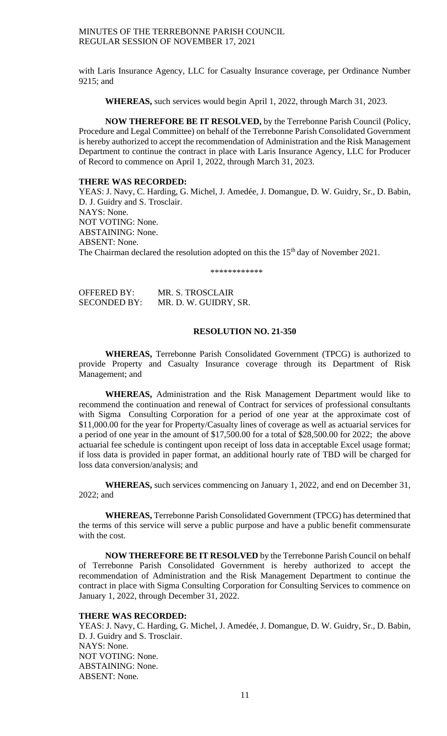with Laris Insurance Agency, LLC for Casualty Insurance coverage, per Ordinance Number 9215; and

**WHEREAS,** such services would begin April 1, 2022, through March 31, 2023.

**NOW THEREFORE BE IT RESOLVED,** by the Terrebonne Parish Council (Policy, Procedure and Legal Committee) on behalf of the Terrebonne Parish Consolidated Government is hereby authorized to accept the recommendation of Administration and the Risk Management Department to continue the contract in place with Laris Insurance Agency, LLC for Producer of Record to commence on April 1, 2022, through March 31, 2023.

## **THERE WAS RECORDED:**

YEAS: J. Navy, C. Harding, G. Michel, J. Amedée, J. Domangue, D. W. Guidry, Sr., D. Babin, D. J. Guidry and S. Trosclair. NAYS: None. NOT VOTING: None. ABSTAINING: None. ABSENT: None. The Chairman declared the resolution adopted on this the 15<sup>th</sup> day of November 2021.

\*\*\*\*\*\*\*\*\*\*\*\*

| <b>OFFERED BY:</b>  | MR. S. TROSCLAIR      |
|---------------------|-----------------------|
| <b>SECONDED BY:</b> | MR. D. W. GUIDRY, SR. |

### **RESOLUTION NO. 21-350**

**WHEREAS,** Terrebonne Parish Consolidated Government (TPCG) is authorized to provide Property and Casualty Insurance coverage through its Department of Risk Management; and

**WHEREAS,** Administration and the Risk Management Department would like to recommend the continuation and renewal of Contract for services of professional consultants with Sigma Consulting Corporation for a period of one year at the approximate cost of \$11,000.00 for the year for Property/Casualty lines of coverage as well as actuarial services for a period of one year in the amount of \$17,500.00 for a total of \$28,500.00 for 2022; the above actuarial fee schedule is contingent upon receipt of loss data in acceptable Excel usage format; if loss data is provided in paper format, an additional hourly rate of TBD will be charged for loss data conversion/analysis; and

**WHEREAS,** such services commencing on January 1, 2022, and end on December 31, 2022; and

**WHEREAS,** Terrebonne Parish Consolidated Government (TPCG) has determined that the terms of this service will serve a public purpose and have a public benefit commensurate with the cost.

**NOW THEREFORE BE IT RESOLVED** by the Terrebonne Parish Council on behalf of Terrebonne Parish Consolidated Government is hereby authorized to accept the recommendation of Administration and the Risk Management Department to continue the contract in place with Sigma Consulting Corporation for Consulting Services to commence on January 1, 2022, through December 31, 2022.

## **THERE WAS RECORDED:**

YEAS: J. Navy, C. Harding, G. Michel, J. Amedée, J. Domangue, D. W. Guidry, Sr., D. Babin, D. J. Guidry and S. Trosclair. NAYS: None. NOT VOTING: None. ABSTAINING: None. ABSENT: None.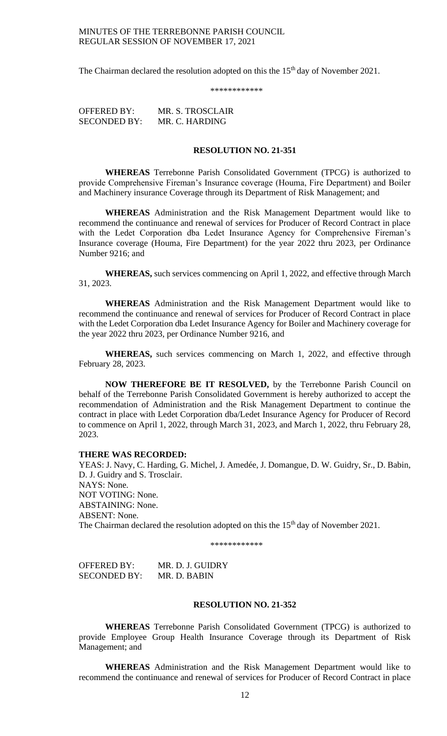The Chairman declared the resolution adopted on this the 15<sup>th</sup> day of November 2021.

\*\*\*\*\*\*\*\*\*\*\*\*

OFFERED BY: MR. S. TROSCLAIR SECONDED BY: MR. C. HARDING

## **RESOLUTION NO. 21-351**

**WHEREAS** Terrebonne Parish Consolidated Government (TPCG) is authorized to provide Comprehensive Fireman's Insurance coverage (Houma, Fire Department) and Boiler and Machinery insurance Coverage through its Department of Risk Management; and

**WHEREAS** Administration and the Risk Management Department would like to recommend the continuance and renewal of services for Producer of Record Contract in place with the Ledet Corporation dba Ledet Insurance Agency for Comprehensive Fireman's Insurance coverage (Houma, Fire Department) for the year 2022 thru 2023, per Ordinance Number 9216; and

**WHEREAS,** such services commencing on April 1, 2022, and effective through March 31, 2023.

**WHEREAS** Administration and the Risk Management Department would like to recommend the continuance and renewal of services for Producer of Record Contract in place with the Ledet Corporation dba Ledet Insurance Agency for Boiler and Machinery coverage for the year 2022 thru 2023, per Ordinance Number 9216, and

**WHEREAS,** such services commencing on March 1, 2022, and effective through February 28, 2023.

**NOW THEREFORE BE IT RESOLVED,** by the Terrebonne Parish Council on behalf of the Terrebonne Parish Consolidated Government is hereby authorized to accept the recommendation of Administration and the Risk Management Department to continue the contract in place with Ledet Corporation dba/Ledet Insurance Agency for Producer of Record to commence on April 1, 2022, through March 31, 2023, and March 1, 2022, thru February 28, 2023.

#### **THERE WAS RECORDED:**

YEAS: J. Navy, C. Harding, G. Michel, J. Amedée, J. Domangue, D. W. Guidry, Sr., D. Babin, D. J. Guidry and S. Trosclair. NAYS: None. NOT VOTING: None. ABSTAINING: None. ABSENT: None. The Chairman declared the resolution adopted on this the 15<sup>th</sup> day of November 2021.

\*\*\*\*\*\*\*\*\*\*\*\*

OFFERED BY: MR. D. J. GUIDRY SECONDED BY: MR. D. BABIN

## **RESOLUTION NO. 21-352**

**WHEREAS** Terrebonne Parish Consolidated Government (TPCG) is authorized to provide Employee Group Health Insurance Coverage through its Department of Risk Management; and

**WHEREAS** Administration and the Risk Management Department would like to recommend the continuance and renewal of services for Producer of Record Contract in place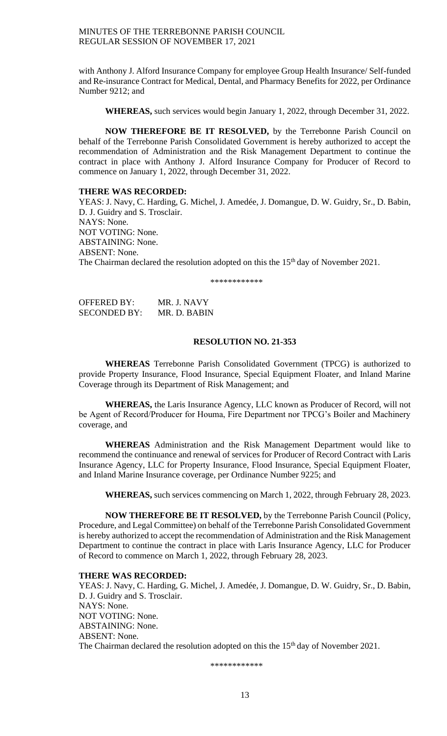with Anthony J. Alford Insurance Company for employee Group Health Insurance/ Self-funded and Re-insurance Contract for Medical, Dental, and Pharmacy Benefits for 2022, per Ordinance Number 9212; and

**WHEREAS,** such services would begin January 1, 2022, through December 31, 2022.

**NOW THEREFORE BE IT RESOLVED,** by the Terrebonne Parish Council on behalf of the Terrebonne Parish Consolidated Government is hereby authorized to accept the recommendation of Administration and the Risk Management Department to continue the contract in place with Anthony J. Alford Insurance Company for Producer of Record to commence on January 1, 2022, through December 31, 2022.

#### **THERE WAS RECORDED:**

YEAS: J. Navy, C. Harding, G. Michel, J. Amedée, J. Domangue, D. W. Guidry, Sr., D. Babin, D. J. Guidry and S. Trosclair. NAYS: None. NOT VOTING: None. ABSTAINING: None. ABSENT: None. The Chairman declared the resolution adopted on this the 15<sup>th</sup> day of November 2021.

\*\*\*\*\*\*\*\*\*\*\*\*

| <b>OFFERED BY:</b>  | MR. J. NAVY  |
|---------------------|--------------|
| <b>SECONDED BY:</b> | MR. D. BABIN |

## **RESOLUTION NO. 21-353**

**WHEREAS** Terrebonne Parish Consolidated Government (TPCG) is authorized to provide Property Insurance, Flood Insurance, Special Equipment Floater, and Inland Marine Coverage through its Department of Risk Management; and

**WHEREAS,** the Laris Insurance Agency, LLC known as Producer of Record, will not be Agent of Record/Producer for Houma, Fire Department nor TPCG's Boiler and Machinery coverage, and

**WHEREAS** Administration and the Risk Management Department would like to recommend the continuance and renewal of services for Producer of Record Contract with Laris Insurance Agency, LLC for Property Insurance, Flood Insurance, Special Equipment Floater, and Inland Marine Insurance coverage, per Ordinance Number 9225; and

**WHEREAS,** such services commencing on March 1, 2022, through February 28, 2023.

**NOW THEREFORE BE IT RESOLVED,** by the Terrebonne Parish Council (Policy, Procedure, and Legal Committee) on behalf of the Terrebonne Parish Consolidated Government is hereby authorized to accept the recommendation of Administration and the Risk Management Department to continue the contract in place with Laris Insurance Agency, LLC for Producer of Record to commence on March 1, 2022, through February 28, 2023.

### **THERE WAS RECORDED:**

YEAS: J. Navy, C. Harding, G. Michel, J. Amedée, J. Domangue, D. W. Guidry, Sr., D. Babin, D. J. Guidry and S. Trosclair. NAYS: None. NOT VOTING: None. ABSTAINING: None. ABSENT: None. The Chairman declared the resolution adopted on this the 15<sup>th</sup> day of November 2021.

\*\*\*\*\*\*\*\*\*\*\*\*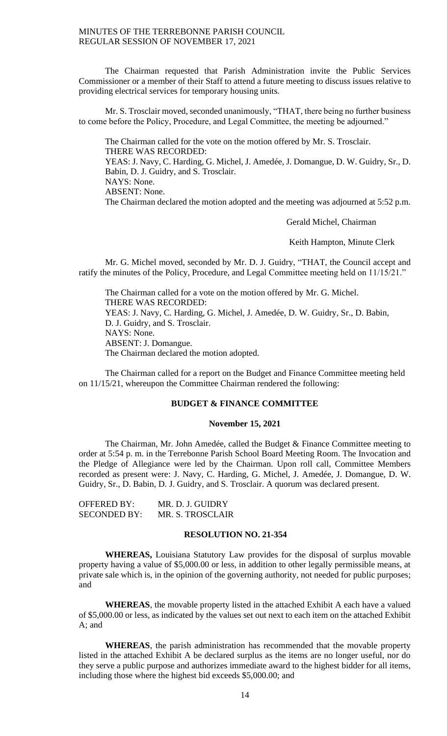The Chairman requested that Parish Administration invite the Public Services Commissioner or a member of their Staff to attend a future meeting to discuss issues relative to providing electrical services for temporary housing units.

Mr. S. Trosclair moved, seconded unanimously, "THAT, there being no further business to come before the Policy, Procedure, and Legal Committee, the meeting be adjourned."

The Chairman called for the vote on the motion offered by Mr. S. Trosclair. THERE WAS RECORDED: YEAS: J. Navy, C. Harding, G. Michel, J. Amedée, J. Domangue, D. W. Guidry, Sr., D. Babin, D. J. Guidry, and S. Trosclair. NAYS: None. ABSENT: None. The Chairman declared the motion adopted and the meeting was adjourned at 5:52 p.m.

Gerald Michel, Chairman

Keith Hampton, Minute Clerk

Mr. G. Michel moved, seconded by Mr. D. J. Guidry, "THAT, the Council accept and ratify the minutes of the Policy, Procedure, and Legal Committee meeting held on 11/15/21."

The Chairman called for a vote on the motion offered by Mr. G. Michel. THERE WAS RECORDED: YEAS: J. Navy, C. Harding, G. Michel, J. Amedée, D. W. Guidry, Sr., D. Babin, D. J. Guidry, and S. Trosclair. NAYS: None. ABSENT: J. Domangue. The Chairman declared the motion adopted.

The Chairman called for a report on the Budget and Finance Committee meeting held on 11/15/21, whereupon the Committee Chairman rendered the following:

## **BUDGET & FINANCE COMMITTEE**

#### **November 15, 2021**

The Chairman, Mr. John Amedée, called the Budget & Finance Committee meeting to order at 5:54 p. m. in the Terrebonne Parish School Board Meeting Room. The Invocation and the Pledge of Allegiance were led by the Chairman. Upon roll call, Committee Members recorded as present were: J. Navy, C. Harding, G. Michel, J. Amedée, J. Domangue, D. W. Guidry, Sr., D. Babin, D. J. Guidry, and S. Trosclair. A quorum was declared present.

| OFFERED BY:         | MR. D. J. GUIDRY |
|---------------------|------------------|
| <b>SECONDED BY:</b> | MR. S. TROSCLAIR |

## **RESOLUTION NO. 21-354**

**WHEREAS,** Louisiana Statutory Law provides for the disposal of surplus movable property having a value of \$5,000.00 or less, in addition to other legally permissible means, at private sale which is, in the opinion of the governing authority, not needed for public purposes; and

**WHEREAS**, the movable property listed in the attached Exhibit A each have a valued of \$5,000.00 or less, as indicated by the values set out next to each item on the attached Exhibit A; and

**WHEREAS**, the parish administration has recommended that the movable property listed in the attached Exhibit A be declared surplus as the items are no longer useful, nor do they serve a public purpose and authorizes immediate award to the highest bidder for all items, including those where the highest bid exceeds \$5,000.00; and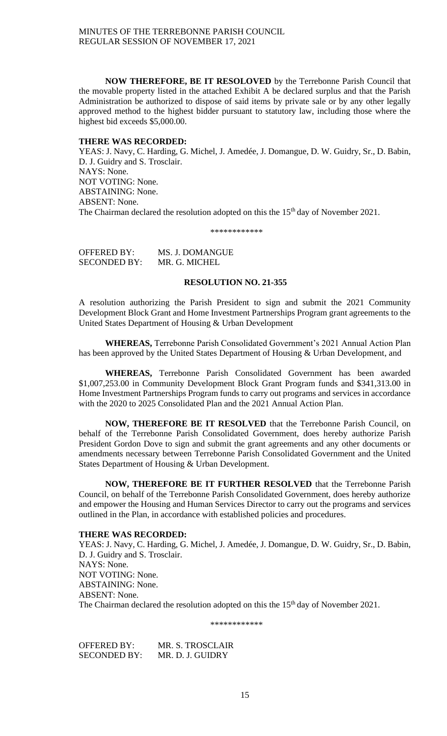**NOW THEREFORE, BE IT RESOLOVED** by the Terrebonne Parish Council that the movable property listed in the attached Exhibit A be declared surplus and that the Parish Administration be authorized to dispose of said items by private sale or by any other legally approved method to the highest bidder pursuant to statutory law, including those where the highest bid exceeds \$5,000.00.

### **THERE WAS RECORDED:**

YEAS: J. Navy, C. Harding, G. Michel, J. Amedée, J. Domangue, D. W. Guidry, Sr., D. Babin, D. J. Guidry and S. Trosclair. NAYS: None. NOT VOTING: None. ABSTAINING: None. ABSENT: None. The Chairman declared the resolution adopted on this the 15<sup>th</sup> day of November 2021.

\*\*\*\*\*\*\*\*\*\*\*\*

OFFERED BY: MS. J. DOMANGUE SECONDED BY: MR. G. MICHEL

## **RESOLUTION NO. 21-355**

A resolution authorizing the Parish President to sign and submit the 2021 Community Development Block Grant and Home Investment Partnerships Program grant agreements to the United States Department of Housing & Urban Development

**WHEREAS,** Terrebonne Parish Consolidated Government's 2021 Annual Action Plan has been approved by the United States Department of Housing & Urban Development, and

**WHEREAS,** Terrebonne Parish Consolidated Government has been awarded \$1,007,253.00 in Community Development Block Grant Program funds and \$341,313.00 in Home Investment Partnerships Program funds to carry out programs and services in accordance with the 2020 to 2025 Consolidated Plan and the 2021 Annual Action Plan.

**NOW, THEREFORE BE IT RESOLVED** that the Terrebonne Parish Council, on behalf of the Terrebonne Parish Consolidated Government, does hereby authorize Parish President Gordon Dove to sign and submit the grant agreements and any other documents or amendments necessary between Terrebonne Parish Consolidated Government and the United States Department of Housing & Urban Development.

**NOW, THEREFORE BE IT FURTHER RESOLVED** that the Terrebonne Parish Council, on behalf of the Terrebonne Parish Consolidated Government, does hereby authorize and empower the Housing and Human Services Director to carry out the programs and services outlined in the Plan, in accordance with established policies and procedures.

#### **THERE WAS RECORDED:**

YEAS: J. Navy, C. Harding, G. Michel, J. Amedée, J. Domangue, D. W. Guidry, Sr., D. Babin, D. J. Guidry and S. Trosclair. NAYS: None. NOT VOTING: None. ABSTAINING: None. ABSENT: None. The Chairman declared the resolution adopted on this the 15<sup>th</sup> day of November 2021.

\*\*\*\*\*\*\*\*\*\*\*\*

OFFERED BY: MR. S. TROSCLAIR SECONDED BY: MR. D. J. GUIDRY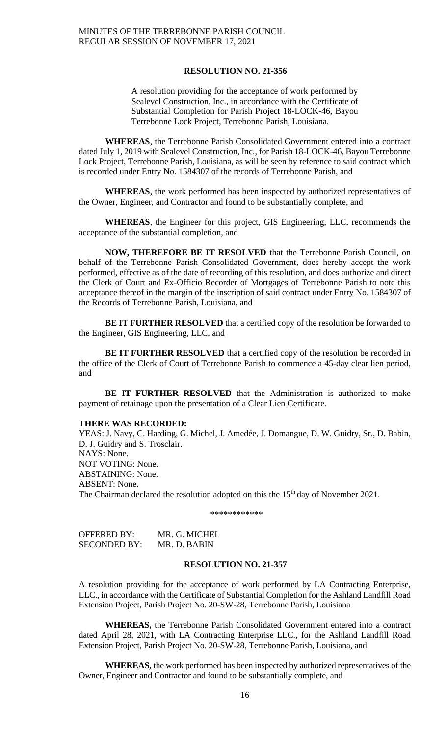#### **RESOLUTION NO. 21-356**

A resolution providing for the acceptance of work performed by Sealevel Construction, Inc., in accordance with the Certificate of Substantial Completion for Parish Project 18-LOCK-46, Bayou Terrebonne Lock Project, Terrebonne Parish, Louisiana.

**WHEREAS**, the Terrebonne Parish Consolidated Government entered into a contract dated July 1, 2019 with Sealevel Construction, Inc., for Parish 18-LOCK-46, Bayou Terrebonne Lock Project, Terrebonne Parish, Louisiana, as will be seen by reference to said contract which is recorded under Entry No. 1584307 of the records of Terrebonne Parish, and

**WHEREAS**, the work performed has been inspected by authorized representatives of the Owner, Engineer, and Contractor and found to be substantially complete, and

**WHEREAS**, the Engineer for this project, GIS Engineering, LLC, recommends the acceptance of the substantial completion, and

**NOW, THEREFORE BE IT RESOLVED** that the Terrebonne Parish Council, on behalf of the Terrebonne Parish Consolidated Government, does hereby accept the work performed, effective as of the date of recording of this resolution, and does authorize and direct the Clerk of Court and Ex-Officio Recorder of Mortgages of Terrebonne Parish to note this acceptance thereof in the margin of the inscription of said contract under Entry No. 1584307 of the Records of Terrebonne Parish, Louisiana, and

**BE IT FURTHER RESOLVED** that a certified copy of the resolution be forwarded to the Engineer, GIS Engineering, LLC, and

**BE IT FURTHER RESOLVED** that a certified copy of the resolution be recorded in the office of the Clerk of Court of Terrebonne Parish to commence a 45-day clear lien period, and

**BE IT FURTHER RESOLVED** that the Administration is authorized to make payment of retainage upon the presentation of a Clear Lien Certificate.

#### **THERE WAS RECORDED:**

YEAS: J. Navy, C. Harding, G. Michel, J. Amedée, J. Domangue, D. W. Guidry, Sr., D. Babin, D. J. Guidry and S. Trosclair. NAYS: None. NOT VOTING: None. ABSTAINING: None. ABSENT: None. The Chairman declared the resolution adopted on this the 15<sup>th</sup> day of November 2021.

\*\*\*\*\*\*\*\*\*\*\*\*

OFFERED BY: MR. G. MICHEL SECONDED BY: MR. D. BABIN

## **RESOLUTION NO. 21-357**

A resolution providing for the acceptance of work performed by LA Contracting Enterprise, LLC., in accordance with the Certificate of Substantial Completion for the Ashland Landfill Road Extension Project, Parish Project No. 20-SW-28, Terrebonne Parish, Louisiana

**WHEREAS,** the Terrebonne Parish Consolidated Government entered into a contract dated April 28, 2021, with LA Contracting Enterprise LLC., for the Ashland Landfill Road Extension Project, Parish Project No. 20-SW-28, Terrebonne Parish, Louisiana, and

**WHEREAS,** the work performed has been inspected by authorized representatives of the Owner, Engineer and Contractor and found to be substantially complete, and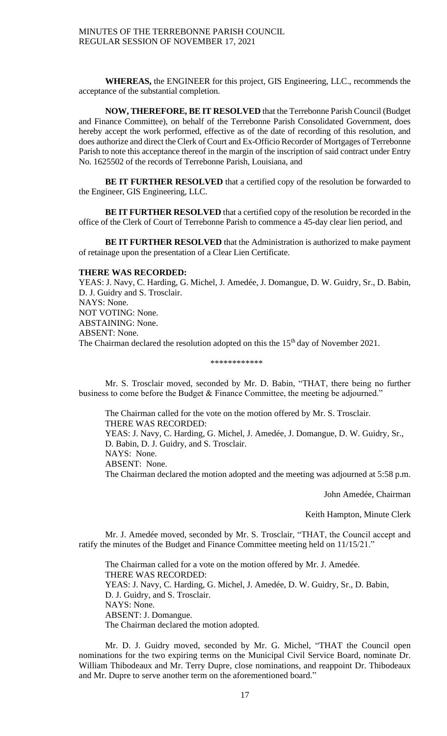**WHEREAS,** the ENGINEER for this project, GIS Engineering, LLC., recommends the acceptance of the substantial completion.

**NOW, THEREFORE, BE IT RESOLVED** that the Terrebonne Parish Council (Budget and Finance Committee), on behalf of the Terrebonne Parish Consolidated Government, does hereby accept the work performed, effective as of the date of recording of this resolution, and does authorize and direct the Clerk of Court and Ex-Officio Recorder of Mortgages of Terrebonne Parish to note this acceptance thereof in the margin of the inscription of said contract under Entry No. 1625502 of the records of Terrebonne Parish, Louisiana, and

**BE IT FURTHER RESOLVED** that a certified copy of the resolution be forwarded to the Engineer, GIS Engineering, LLC.

**BE IT FURTHER RESOLVED** that a certified copy of the resolution be recorded in the office of the Clerk of Court of Terrebonne Parish to commence a 45-day clear lien period, and

**BE IT FURTHER RESOLVED** that the Administration is authorized to make payment of retainage upon the presentation of a Clear Lien Certificate.

## **THERE WAS RECORDED:**

YEAS: J. Navy, C. Harding, G. Michel, J. Amedée, J. Domangue, D. W. Guidry, Sr., D. Babin, D. J. Guidry and S. Trosclair. NAYS: None. NOT VOTING: None. ABSTAINING: None. ABSENT: None. The Chairman declared the resolution adopted on this the 15<sup>th</sup> day of November 2021.

#### \*\*\*\*\*\*\*\*\*\*\*\*

Mr. S. Trosclair moved, seconded by Mr. D. Babin, "THAT, there being no further business to come before the Budget & Finance Committee, the meeting be adjourned."

The Chairman called for the vote on the motion offered by Mr. S. Trosclair. THERE WAS RECORDED: YEAS: J. Navy, C. Harding, G. Michel, J. Amedée, J. Domangue, D. W. Guidry, Sr., D. Babin, D. J. Guidry, and S. Trosclair. NAYS: None. ABSENT: None. The Chairman declared the motion adopted and the meeting was adjourned at 5:58 p.m.

John Amedée, Chairman

### Keith Hampton, Minute Clerk

Mr. J. Amedée moved, seconded by Mr. S. Trosclair, "THAT, the Council accept and ratify the minutes of the Budget and Finance Committee meeting held on 11/15/21."

The Chairman called for a vote on the motion offered by Mr. J. Amedée. THERE WAS RECORDED: YEAS: J. Navy, C. Harding, G. Michel, J. Amedée, D. W. Guidry, Sr., D. Babin, D. J. Guidry, and S. Trosclair. NAYS: None. ABSENT: J. Domangue. The Chairman declared the motion adopted.

Mr. D. J. Guidry moved, seconded by Mr. G. Michel, "THAT the Council open nominations for the two expiring terms on the Municipal Civil Service Board, nominate Dr. William Thibodeaux and Mr. Terry Dupre, close nominations, and reappoint Dr. Thibodeaux and Mr. Dupre to serve another term on the aforementioned board."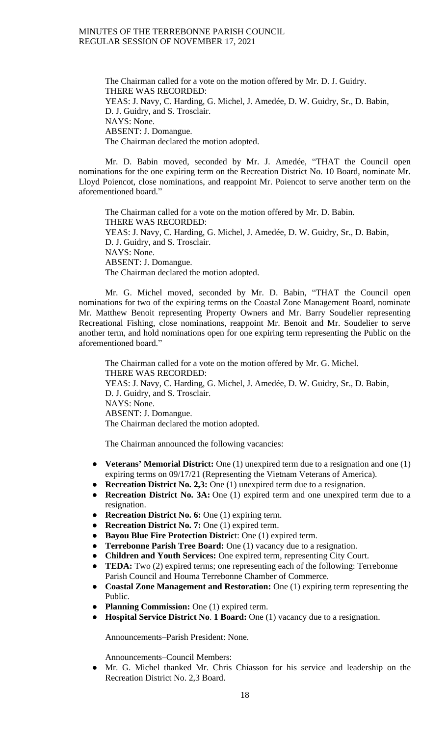The Chairman called for a vote on the motion offered by Mr. D. J. Guidry. THERE WAS RECORDED: YEAS: J. Navy, C. Harding, G. Michel, J. Amedée, D. W. Guidry, Sr., D. Babin, D. J. Guidry, and S. Trosclair. NAYS: None. ABSENT: J. Domangue. The Chairman declared the motion adopted.

Mr. D. Babin moved, seconded by Mr. J. Amedée, "THAT the Council open nominations for the one expiring term on the Recreation District No. 10 Board, nominate Mr. Lloyd Poiencot, close nominations, and reappoint Mr. Poiencot to serve another term on the aforementioned board."

The Chairman called for a vote on the motion offered by Mr. D. Babin. THERE WAS RECORDED: YEAS: J. Navy, C. Harding, G. Michel, J. Amedée, D. W. Guidry, Sr., D. Babin, D. J. Guidry, and S. Trosclair. NAYS: None. ABSENT: J. Domangue. The Chairman declared the motion adopted.

Mr. G. Michel moved, seconded by Mr. D. Babin, "THAT the Council open nominations for two of the expiring terms on the Coastal Zone Management Board, nominate Mr. Matthew Benoit representing Property Owners and Mr. Barry Soudelier representing Recreational Fishing, close nominations, reappoint Mr. Benoit and Mr. Soudelier to serve another term, and hold nominations open for one expiring term representing the Public on the aforementioned board."

The Chairman called for a vote on the motion offered by Mr. G. Michel. THERE WAS RECORDED: YEAS: J. Navy, C. Harding, G. Michel, J. Amedée, D. W. Guidry, Sr., D. Babin, D. J. Guidry, and S. Trosclair. NAYS: None. ABSENT: J. Domangue. The Chairman declared the motion adopted.

The Chairman announced the following vacancies:

- **Veterans' Memorial District:** One (1) unexpired term due to a resignation and one (1) expiring terms on 09/17/21 (Representing the Vietnam Veterans of America).
- **Recreation District No. 2,3:** One (1) unexpired term due to a resignation.
- **Recreation District No. 3A:** One (1) expired term and one unexpired term due to a resignation.
- **Recreation District No. 6:** One (1) expiring term.
- **Recreation District No. 7:** One (1) expired term.
- **Bayou Blue Fire Protection Distric**t: One (1) expired term.
- **Terrebonne Parish Tree Board:** One (1) vacancy due to a resignation.
- **Children and Youth Services:** One expired term, representing City Court.
- **TEDA:** Two (2) expired terms; one representing each of the following: Terrebonne Parish Council and Houma Terrebonne Chamber of Commerce.
- **Coastal Zone Management and Restoration:** One (1) expiring term representing the Public.
- **Planning Commission:** One (1) expired term.
- **Hospital Service District No**. **1 Board:** One (1) vacancy due to a resignation.

Announcements–Parish President: None.

Announcements–Council Members:

Mr. G. Michel thanked Mr. Chris Chiasson for his service and leadership on the Recreation District No. 2,3 Board.